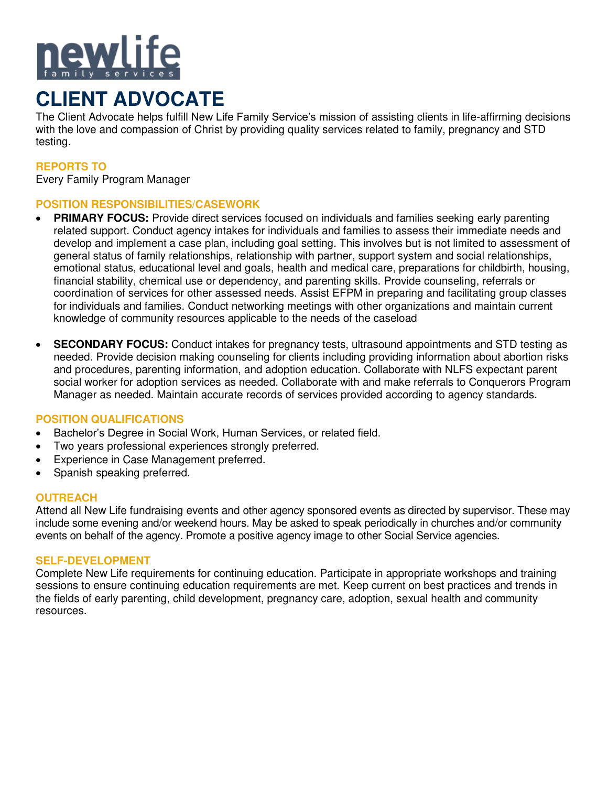

# **CLIENT ADVOCATE**

The Client Advocate helps fulfill New Life Family Service's mission of assisting clients in life-affirming decisions with the love and compassion of Christ by providing quality services related to family, pregnancy and STD testing.

## **REPORTS TO**

Every Family Program Manager

## **POSITION RESPONSIBILITIES/CASEWORK**

- **PRIMARY FOCUS:** Provide direct services focused on individuals and families seeking early parenting related support. Conduct agency intakes for individuals and families to assess their immediate needs and develop and implement a case plan, including goal setting. This involves but is not limited to assessment of general status of family relationships, relationship with partner, support system and social relationships, emotional status, educational level and goals, health and medical care, preparations for childbirth, housing, financial stability, chemical use or dependency, and parenting skills. Provide counseling, referrals or coordination of services for other assessed needs. Assist EFPM in preparing and facilitating group classes for individuals and families. Conduct networking meetings with other organizations and maintain current knowledge of community resources applicable to the needs of the caseload
- **SECONDARY FOCUS:** Conduct intakes for pregnancy tests, ultrasound appointments and STD testing as needed. Provide decision making counseling for clients including providing information about abortion risks and procedures, parenting information, and adoption education. Collaborate with NLFS expectant parent social worker for adoption services as needed. Collaborate with and make referrals to Conquerors Program Manager as needed. Maintain accurate records of services provided according to agency standards.

### **POSITION QUALIFICATIONS**

- Bachelor's Degree in Social Work, Human Services, or related field.
- Two years professional experiences strongly preferred.
- Experience in Case Management preferred.
- Spanish speaking preferred.

#### **OUTREACH**

Attend all New Life fundraising events and other agency sponsored events as directed by supervisor. These may include some evening and/or weekend hours. May be asked to speak periodically in churches and/or community events on behalf of the agency. Promote a positive agency image to other Social Service agencies.

#### **SELF-DEVELOPMENT**

Complete New Life requirements for continuing education. Participate in appropriate workshops and training sessions to ensure continuing education requirements are met. Keep current on best practices and trends in the fields of early parenting, child development, pregnancy care, adoption, sexual health and community resources.